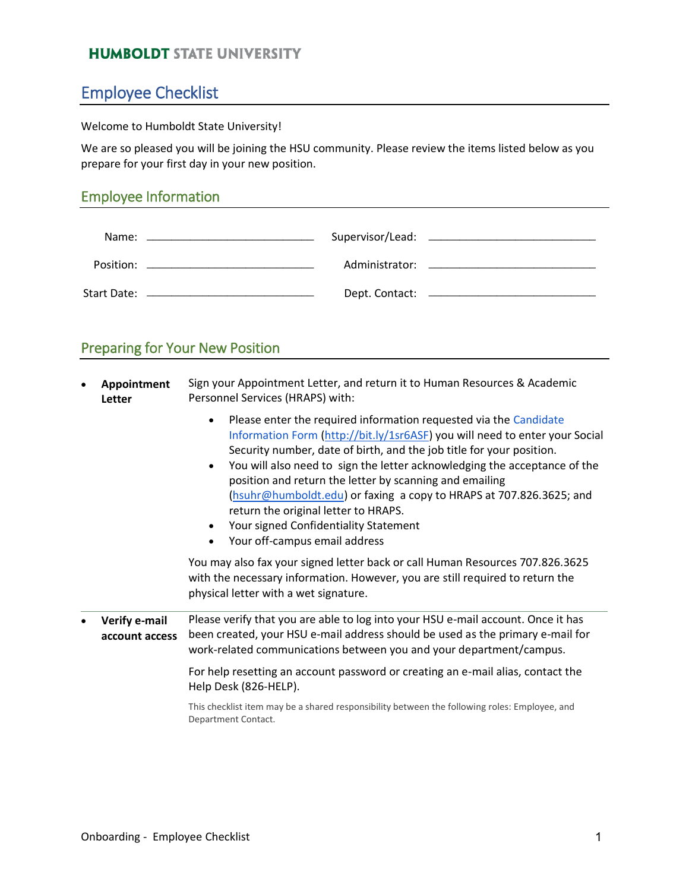### **HUMBOLDT STATE UNIVERSITY**

## Employee Checklist

#### Welcome to Humboldt State University!

We are so pleased you will be joining the HSU community. Please review the items listed below as you prepare for your first day in your new position.

#### Employee Information

|  | Dept. Contact: _________________________ |
|--|------------------------------------------|

### Preparing for Your New Position

- **Appointment Letter** Sign your Appointment Letter, and return it to Human Resources & Academic Personnel Services (HRAPS) with:
	- Please enter the required information requested via the [Candidate](https://accountcenter.humboldt.edu:4443/p/r/f?p=140:2) [Information Form](https://accountcenter.humboldt.edu:4443/p/r/f?p=140:2) [\(http://bit.ly/1sr6ASF\)](http://bit.ly/1sr6ASF) you will need to enter your Social Security number, date of birth, and the job title for your position.
	- You will also need to sign the letter acknowledging the acceptance of the position and return the letter by scanning and emailing [\(hsuhr@humboldt.edu\)](mailto:hsuhr@humboldt.edu) or faxing a copy to HRAPS at 707.826.3625; and return the original letter to HRAPS.
	- Your signed Confidentiality Statement
	- Your off-campus email address

You may also fax your signed letter back or call Human Resources 707.826.3625 with the necessary information. However, you are still required to return the physical letter with a wet signature.

• **Verify e-mail account access** Please verify that you are able to log into your HSU e-mail account. Once it has been created, your HSU e-mail address should be used as the primary e-mail for work-related communications between you and your department/campus.

> For help resetting an account password or creating an e-mail alias, contact the Help Desk (826-HELP).

This checklist item may be a shared responsibility between the following roles: Employee, and Department Contact.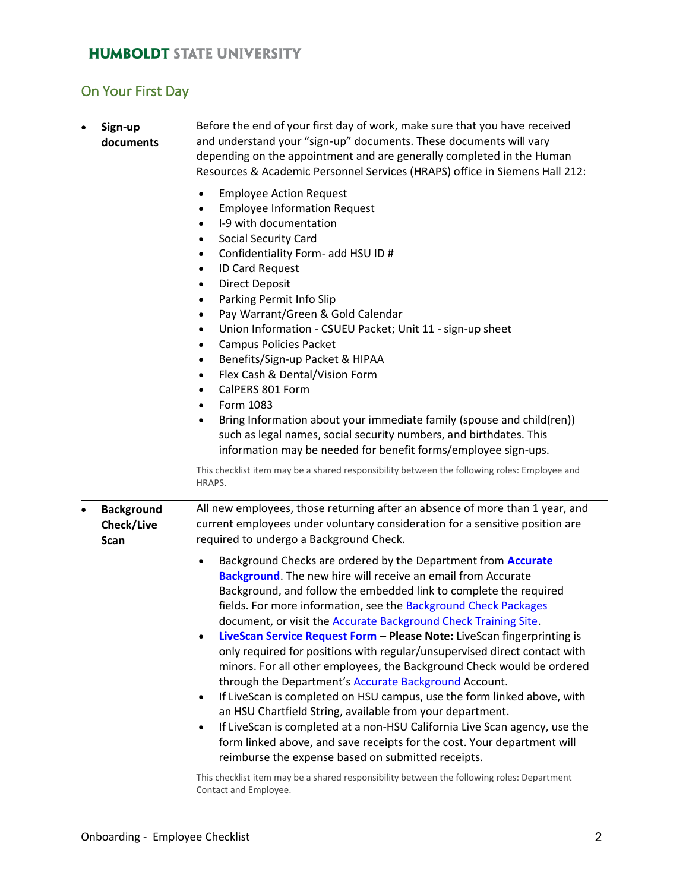### **HUMBOLDT STATE UNIVERSITY**

# On Your First Day

| $\bullet$ | Before the end of your first day of work, make sure that you have received<br>Sign-up<br>and understand your "sign-up" documents. These documents will vary<br>documents<br>depending on the appointment and are generally completed in the Human<br>Resources & Academic Personnel Services (HRAPS) office in Siemens Hall 212:<br><b>Employee Action Request</b><br>$\bullet$ |                                                                                                                                                                                                                                                                                                                                                                                                                                                                                                                                                                                                                                                                                                                                                                                                                                                                                                                                                                                                                                                                                                                                        |
|-----------|---------------------------------------------------------------------------------------------------------------------------------------------------------------------------------------------------------------------------------------------------------------------------------------------------------------------------------------------------------------------------------|----------------------------------------------------------------------------------------------------------------------------------------------------------------------------------------------------------------------------------------------------------------------------------------------------------------------------------------------------------------------------------------------------------------------------------------------------------------------------------------------------------------------------------------------------------------------------------------------------------------------------------------------------------------------------------------------------------------------------------------------------------------------------------------------------------------------------------------------------------------------------------------------------------------------------------------------------------------------------------------------------------------------------------------------------------------------------------------------------------------------------------------|
|           |                                                                                                                                                                                                                                                                                                                                                                                 | <b>Employee Information Request</b><br>$\bullet$<br>I-9 with documentation<br>$\bullet$<br>Social Security Card<br>$\bullet$<br>Confidentiality Form- add HSU ID #<br>$\bullet$<br><b>ID Card Request</b><br>$\bullet$<br><b>Direct Deposit</b><br>$\bullet$<br>Parking Permit Info Slip<br>$\bullet$<br>Pay Warrant/Green & Gold Calendar<br>$\bullet$<br>Union Information - CSUEU Packet; Unit 11 - sign-up sheet<br>$\bullet$<br><b>Campus Policies Packet</b><br>$\bullet$<br>Benefits/Sign-up Packet & HIPAA<br>$\bullet$<br>Flex Cash & Dental/Vision Form<br>$\bullet$<br>CalPERS 801 Form<br>$\bullet$<br>Form 1083<br>$\bullet$<br>Bring Information about your immediate family (spouse and child(ren))<br>$\bullet$<br>such as legal names, social security numbers, and birthdates. This<br>information may be needed for benefit forms/employee sign-ups.                                                                                                                                                                                                                                                                |
|           |                                                                                                                                                                                                                                                                                                                                                                                 | This checklist item may be a shared responsibility between the following roles: Employee and<br>HRAPS.                                                                                                                                                                                                                                                                                                                                                                                                                                                                                                                                                                                                                                                                                                                                                                                                                                                                                                                                                                                                                                 |
| $\bullet$ | <b>Background</b><br>Check/Live<br><b>Scan</b>                                                                                                                                                                                                                                                                                                                                  | All new employees, those returning after an absence of more than 1 year, and<br>current employees under voluntary consideration for a sensitive position are<br>required to undergo a Background Check.                                                                                                                                                                                                                                                                                                                                                                                                                                                                                                                                                                                                                                                                                                                                                                                                                                                                                                                                |
|           |                                                                                                                                                                                                                                                                                                                                                                                 | Background Checks are ordered by the Department from Accurate<br>$\bullet$<br><b>Background.</b> The new hire will receive an email from Accurate<br>Background, and follow the embedded link to complete the required<br>fields. For more information, see the Background Check Packages<br>document, or visit the Accurate Background Check Training Site.<br>LiveScan Service Request Form - Please Note: LiveScan fingerprinting is<br>only required for positions with regular/unsupervised direct contact with<br>minors. For all other employees, the Background Check would be ordered<br>through the Department's Accurate Background Account.<br>If LiveScan is completed on HSU campus, use the form linked above, with<br>$\bullet$<br>an HSU Chartfield String, available from your department.<br>If LiveScan is completed at a non-HSU California Live Scan agency, use the<br>$\bullet$<br>form linked above, and save receipts for the cost. Your department will<br>reimburse the expense based on submitted receipts.<br>This checklist item may be a shared responsibility between the following roles: Department |
|           |                                                                                                                                                                                                                                                                                                                                                                                 | Contact and Employee.                                                                                                                                                                                                                                                                                                                                                                                                                                                                                                                                                                                                                                                                                                                                                                                                                                                                                                                                                                                                                                                                                                                  |